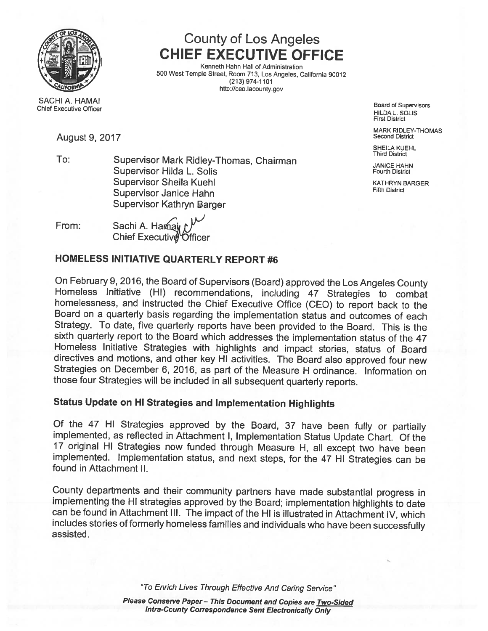

# County of Los Angeles CHIEF EXECUTIVE OFFICE

Kenneth Hahn Hall of Administration 4 . <sup>500</sup> West Temple Street, Room <sup>713</sup> Los Angeles, California <sup>90012</sup> (213) 974-1101 http://ceo.lacounty.gov

First District

MARK RIDLEY-THOMAS<br>Second District

SHEILA KUEHL<br>Third District

SACHI A. HAMAI<br>Chief Executive Officer And Discussions Chief Executive Officer HillDA L. SOLIS

## August 9, 2017

To: Supervisor Mark Ridley-Thomas, Chairman JANICE HAHN Supervisor Hilda L. Solis Fourth District Fourth District Supervisor Sheila Kuehl Kathara Kathara Kathara Kathara Kathara Kathara Kathara Kathara Kathara Kathara Kathar<br>Kathara Kathara Kusha Kathara Kathara Kathara Kathara Kathara Kathara Kathara Kathara Kathara Kathara Kathara Supervisor Janice Hahn Supervisor Kathryn Barger

From: Sachi A. Harmain Chief Executive Officer

## HOMELESS INITIATIVE QUARTERLY REPORT #6

Sachi A. Harnay

On February 9, 2016, the Board of Supervisors (Board) approved the Los Angeles County Homeless Initiative (HI) recommendations, including <sup>47</sup> Strategies to combat homelessness, and instructed the Chief Executive Office (CEO) to report back to the Board on <sup>a</sup> quarterly basis regarding the implementation status and outcomes of each Strategy. To date, five quarterly reports have been provided to the Board. This is the sixth quarterly report to the Board which addresses the implementation status of the <sup>47</sup> Homeless Initiative Strategies with highlights and impact stories, status of Board directives and motions, and other key HI activities. The Board also approved four new Strategies on December 6, 2016, as part of the Measure H ordinance. Information on those four Strategies will be included in all subsequent quarterly reports.

## Status Update on HI Strategies and Implementation Highlights

Of the <sup>47</sup> HI Strategies approved by the Board, <sup>37</sup> have been fully or partially implemented, as reflected in Attachment I, Implementation Status Update Chart. Of the <sup>17</sup> original HI Strategies now funded through Measure H, all except two have been implemented. Implementation status, and next steps, for the <sup>47</sup> HI Strategies can be found in Attachment II.

County departments and their community partners have made substantial progress in implementing the HI strategies approved by the Board; implementation highlights to date can be found in Attachment III. The impact of the HI is illustrated in Attachment IV, which includes stories of formerly homeless families and individuals who have been successfully assisted.

"To Enrich Lives Through Effective And Caring Service'

Please Conserve Paper - This Document and Copies are Two-Sided Intra-County Correspondence Sent Electronically Only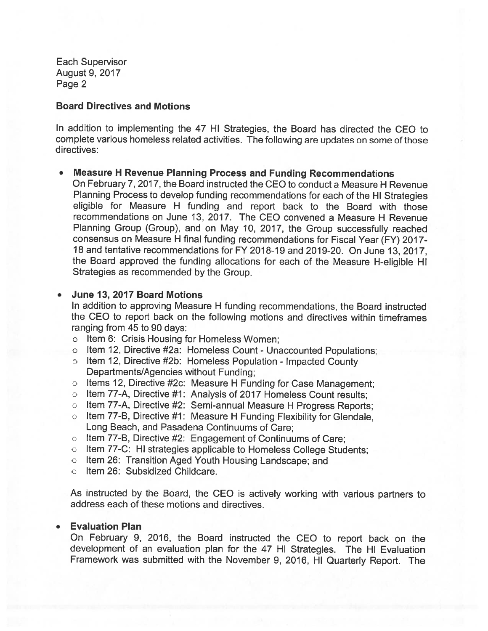### Board Directives and Motions

In addition to implementing the <sup>47</sup> HI Strategies, the Board has directed the CEO to complete various homeless related activities. The following are updates on some of those directives:

### Measure <sup>H</sup> Revenue Planning Process and Funding Recommendations

On February 7, 2017, the Board instructed the CEO to conduct <sup>a</sup> Measure H Revenue Planning Process to develop funding recommendations for each of the HI Strategies eligible for Measure <sup>H</sup> funding and repor<sup>t</sup> back to the Board with those recommendations on June 13, 2017. The CEO convened <sup>a</sup> Measure H Revenue Planning Group (Group), and on May 10, 2017, the Group successfully reached consensus on Measure H final funding recommendations for Fiscal Year (FY) 2017- 18 and tentative recommendations for FY 2018-19 and 2019-20. On June 13, 2017, the Board approve<sup>d</sup> the funding allocations for each of the Measure H-eligible HI Strategies as recommended by the Group.

#### •June 13, 2017 Board Motions

In addition to approving Measure <sup>H</sup> funding recommendations, the Board instructed the CEO to repor<sup>t</sup> back on the following motions and directives within timeframes ranging from 45 to 90 days:

- <sup>o</sup> Item 6: Crisis Housing for Homeless Women;
- <sup>o</sup> Item 12, Directive #2a: Homeless Count Unaccounted Populations;
- <sup>o</sup> Item 12, Directive #2b: Homeless Population Impacted County Departments/Agencies without Funding;
- <sup>o</sup> Items 12, Directive #2c: Measure <sup>H</sup> Funding for Case Management;
- <sup>o</sup> Item 77-A, Directive #1: Analysis of 2017 Homeless Count results;
- <sup>o</sup> Item 77-A, Directive #2: Semi-annual Measure <sup>H</sup> Progress Reports;
- <sup>o</sup> Item 77-B, Directive #1: Measure <sup>H</sup> Funding Flexibility for Glendale, Long Beach, and Pasadena Continuums of Care;
- <sup>o</sup> Item 77-B, Directive #2: Engagement of Continuums of Care;
- <sup>o</sup> Item 77-C: HI strategies applicable to Homeless College Students;
- <sup>o</sup> Item 26: Transition Aged Youth Housing Landscape; and
- <sup>o</sup> Item 26: Subsidized Childcare.

As instructed by the Board, the CEO is actively working with various partners to address each of these motions and directives.

#### •Evaluation Plan

On February 9, 2016, the Board instructed the CEO to repor<sup>t</sup> back on the development of an evaluation <sup>p</sup>lan for the <sup>47</sup> HI Strategies. The HI Evaluation Framework was submitted with the November 9, 2016, HI Quarterly Report. The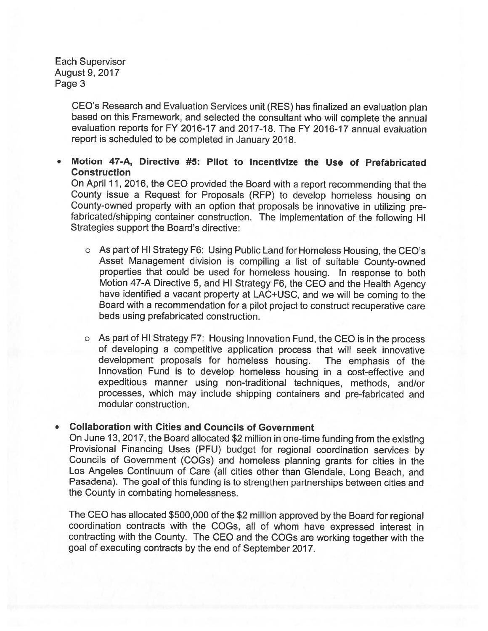> CEO's Research and Evaluation Services unit (RES) has finalized an evaluation <sup>p</sup>lan based on this Framework, and selected the consultant who will complete the annual evaluation reports for FY 2016-17 and 2017-18. The FY 2016-17 annual evaluation repor<sup>t</sup> is scheduled to be completed in January 2018.

### • Motion 47-A, Directive #5: Pilot to Incentivize the Use of Prefabricated **Construction**

On April 11, 2016, the CEO provided the Board with <sup>a</sup> repor<sup>t</sup> recommending that the County issue <sup>a</sup> Request for Proposals (RFP) to develop homeless housing on County-owned property with an option that proposals be innovative in utilizing pre fabricated/shipping container construction. The implementation of the following HI Strategies support the Board's directive:

- <sup>o</sup> As par<sup>t</sup> of HI Strategy F6: Using Public Land for Homeless Housing, the CEO's Asset Management division is compiling <sup>a</sup> list of suitable County-owned properties that could be used for homeless housing. In response to both Motion 47-A Directive 5, and HI Strategy F6, the CEO and the Health Agency have identified <sup>a</sup> vacant property at LAC+USC, and we will be coming to the Board with <sup>a</sup> recommendation for <sup>a</sup> <sup>p</sup>ilot project to construct recuperative care beds using prefabricated construction.
- <sup>o</sup> As par<sup>t</sup> of HI Strategy F7: Housing Innovation Fund, the CEO is in the process of developing <sup>a</sup> competitive application process that will seek innovative development proposals for homeless housing. The emphasis of the Innovation Fund is to develop homeless housing in <sup>a</sup> cost-effective and expeditious manner using non-traditional techniques, methods, and/or processes, which may include shipping containers and pre-fabricated and modular construction.

#### •Collaboration with Cities and Councils of Government

On June 13, 2017, the Board allocated \$2 million in one-time funding from the existing Provisional Financing Uses (PFU) budget for regional coordination services by Councils of Government (COGs) and homeless <sup>p</sup>lanning grants for cities in the Los Angeles Continuum of Care (all cities other than Glendale, Long Beach, and Pasadena). The goa<sup>l</sup> of this funding is to strengthen partnerships between cities and the County in combating homelessness.

The CEO has allocated \$500,000 of the \$2 million approve<sup>d</sup> by the Board for regional coordination contracts with the COGs, all of whom have expressed interest in contracting with the County. The CEO and the COGs are working together with the goa<sup>l</sup> of executing contracts by the end of September 2017.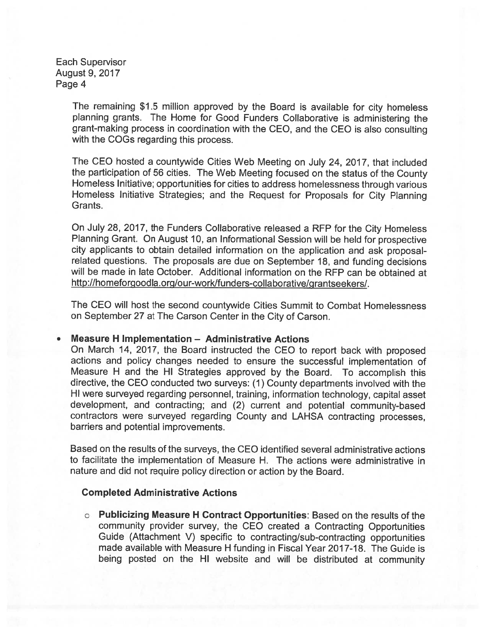> The remaining \$1.5 million approve<sup>d</sup> by the Board is available for city homeless <sup>p</sup>lanning grants. The Home for Good Funders Collaborative is administering the grant-making process in coordination with the CEO, and the CEO is also consulting with the COGs regarding this process.

> The CEO hosted <sup>a</sup> countywide Cities Web Meeting on July 24, 2017, that included the participation of <sup>56</sup> cities. The Web Meeting focused on the status of the County Homeless Initiative; opportunities for cities to address homelessness through various Homeless Initiative Strategies; and the Request for Proposals for City Planning Grants.

> On July 28, 2017, the Funders Collaborative released <sup>a</sup> RFP for the City Homeless Planning Grant. On August 10, an Informational Session will be held for prospective city applicants to obtain detailed information on the application and ask proposalrelated questions. The proposals are due on September 18, and funding decisions will be made in late October. Additional information on the REP can be obtained at http://homeforgoodla.org/our-work/funders-collaborative/grantseekers/.

> The CEO will host the second countywide Cities Summit to Combat Homelessness on September 27 at The Carson Center in the City of Carson.

### Measure H Implementation — Administrative Actions

On March 14, 2017, the Board instructed the CEO to repor<sup>t</sup> back with propose<sup>d</sup> actions and policy changes needed to ensure the successful implementation of Measure <sup>H</sup> and the HI Strategies approve<sup>d</sup> by the Board. To accomplish this directive, the CEO conducted two surveys: (1) County departments involved with the HI were surveye<sup>d</sup> regarding personnel, training, information technology, capital asset development, and contracting; and (2) current and potential community-based contractors were surveye<sup>d</sup> regarding County and LAHSA contracting processes, barriers and potential improvements.

Based on the results of the surveys, the CEO identified several administrative actions to facilitate the implementation of Measure H. The actions were administrative in nature and did not require policy direction or action by the Board.

### Completed Administrative Actions

<sup>o</sup> Publicizing Measure <sup>H</sup> Contract Opportunities: Based on the results of the community provider survey, the CEO created <sup>a</sup> Contracting Opportunities Guide (Attachment V) specific to contracting/sub-contracting opportunities made available with Measure H funding in Fiscal Year 2017-18. The Guide is being posted on the HI website and will be distributed at community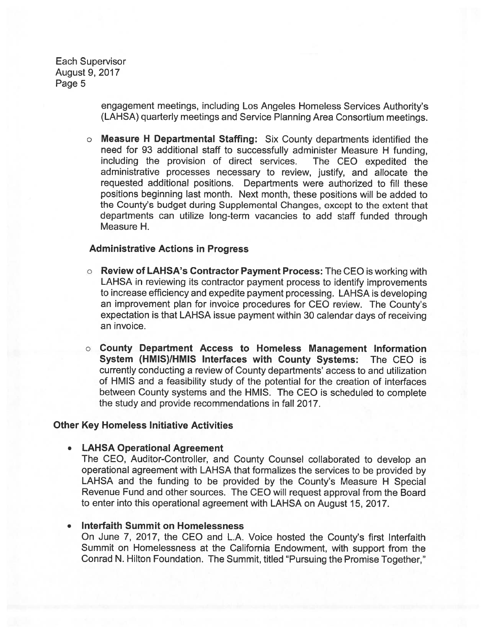> engagemen<sup>t</sup> meetings, including Los Angeles Homeless Services Authority's (LAHSA) quarterly meetings and Service Planning Area Consortium meetings.

<sup>o</sup> Measure <sup>H</sup> Departmental Staffing: Six County departments identified the need for 93 additional staff to successfully administer Measure <sup>H</sup> funding, including the provision of direct services. The CEO expedited the administrative processes necessary to review, justify, and allocate the requested additional positions. Departments were authorized to fill these positions beginning last month. Next month, these positions will be added to the County's budget during Supplemental Changes, excep<sup>t</sup> to the extent that departments can utilize long-term vacancies to add staff funded through Measure H.

### Administrative Actions in Progress

- **O** Review of LAHSA's Contractor Payment Process: The CEO is working with LAHSA in reviewing its contractor paymen<sup>t</sup> process to identify improvements to increase efficiency and expedite paymen<sup>t</sup> processing. LAHSA is developing an improvement <sup>p</sup>lan for invoice procedures for CEO review. The County's expectation is that LAHSA issue paymen<sup>t</sup> within 30 calendar days of receiving an invoice.
- <sup>o</sup> County Department Access to Homeless Management Information System (HMIS)/HMIS Interfaces with County Systems: The CEO is currently conducting <sup>a</sup> review of County departments' access to and utilization of HMIS and <sup>a</sup> feasibility study of the potential for the creation of interfaces between County systems and the HMIS. The CEO is scheduled to complete the study and provide recommendations in fall 2017.

### Other Key Homeless Initiative Activities

### LAHSA Operational Agreement

The CEO, Auditor-Controller, and County Counsel collaborated to develop an operational agreemen<sup>t</sup> with LAHSA that formalizes the services to be provided by LAHSA and the funding to be provided by the County's Measure <sup>H</sup> Special Revenue Fund and other sources. The CEO will reques<sup>t</sup> approval from the Board to enter into this operational agreemen<sup>t</sup> with LAHSA on August 15, 2017.

### Interfaith Summit on Homelessness

On June 7, 2017, the CEO and L.A. Voice hosted the County's first Interfaith Summit on Homelessness at the California Endowment, with suppor<sup>t</sup> from the Conrad N. Hilton Foundation. The Summit, titled "Pursuing the Promise Together,"